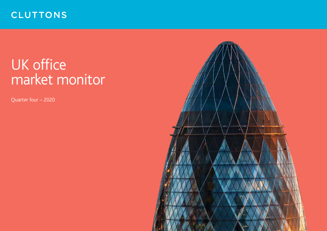# **CLUTTONS**

# UK office market monitor

Quarter four – 2020

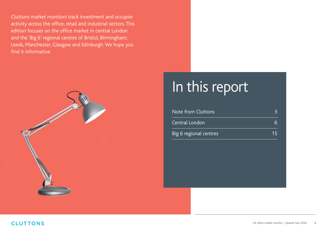Cluttons market monitors track investment and occupier activity across the office, retail and industrial sectors. This edition focuses on the office market in central London and the 'Big 6' regional centres of Bristol, Birmingham, Leeds, Manchester, Glasgow and Edinburgh. We hope you find it informative.



# In this report

| Note from Cluttons            |     |
|-------------------------------|-----|
| Central London                |     |
| <b>Big 6 regional centres</b> | '15 |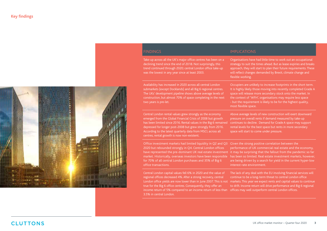

Take-up across all the UK's major office centres has been on a declining trend since the end of 2018. Not surprisingly, this trend continued through 2020; central London office take-up was the lowest in any year since at least 2003.

Availability has increased in 2020 across all central London submarkets (except Docklands) and all Big 6 regional centres. The UKs' development pipeline shows above average levels of construction, but almost 70% of space completing in the next two years is pre-let.

Central London rental values grew strongly as the economy emerged from the Global Financial Crisis of 2008 but growth has been limited since 2016. Rental values in the Big 6 remained depressed for longer post-2008 but grew strongly from 2016. According to the latest quarterly data from MSCI, across all centres, rental growth is now non-existent.

Office investment markets had limited liquidity in Q2 and Q3 2020 but rebounded strongly in Q4. Central London offices market. Historically, overseas investors have been responsible for 70% of all central London purchases and 35% of Big 6 office transactions.

Central London capital values fell 6% in 2020 and the value of regional offices decreased 4%. After a strong recovery, central London office yields are now lower than in June 2007. This is not true for the Big 6 office centres. Consequently, they offer an income return of 5% compared to an income return of less than offices may well outperform central London offices. 3.5% in central London.

### FINDINGS THE EXPERIMENT OF THE EXPERIMENT ON THE EXPERIMENT ON THE EXPERIMENT ON THE EXPERIMENT OF THE EXPERIMENT OF THE EXPERIMENT OF THE EXPERIMENT OF THE EXPERIMENT OF THE EXPERIMENT OF THE EXPERIMENT OF THE EXPERIMENT

Organisations have had little time to work out an occupational strategy to suit the times ahead. But as lease expiries and breaks approach, they will start to plan their future requirements. These will reflect changes demanded by Brexit, climate change and flexible working.

Occupiers are unlikely to increase footprints in the short term. It is highly likely those moving into recently completed Grade A space will release more secondary stock onto the market. In the context of 'WFH', organisations may require less space - but the requirement is likely to be for the highest quality, most flexible space.

Above average levels of new construction will exert downward pressure on overall rents if demand measured by take-up continues to decline. Demand for Grade A space may support rental levels for the best space but rents in more secondary space will start to come under pressure.

have represented the pre-dominant UK real estate investment it may be surprising that the fallout from the pandemic so far Given the strong positive correlation between the performance of UK commercial real estate and the economy, has been so limited. Real estate investment markets, however, are being driven by a search for yield in the current hyper-low interest rate environment.

> The lack of any deal with the EU involving financial services will continue to be a long-term threat to central London office markets. This year we expect rents and capital values to continue to drift. Income return will drive performance and Big 6 regional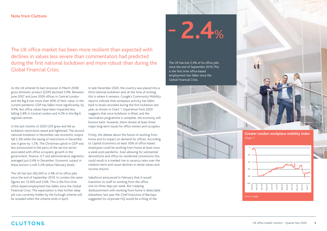### **Note from Cluttons**

The UK office market has been more resilient than expected with declines in values less severe than commentators had predicted during the first national lockdown and more robust than during the Global Financial Crisis.

As the UK entered its last recession in March 2008, gross domestic product (GDP) declined 5.9%. Between June 2007 and June 2009 offices in Central London and the Big 6 lost more than 40% of their value. In the current pandemic GDP has fallen more significantly, by 9.9%. But office values have been impacted less, falling 5.8% in Central London and 4.2% in the Big 6 regional centres.

In the last months of 2020 GDP grew and fell as lockdown restrictions eased and tightened. The second national lockdown in November saw economic output fall 2.3% while the easing of restrictions in December saw it grow by 1.2%. The Christmas uptick in GDP was less pronounced in the parts of the service sector associated with office occupiers; growth in the government, finance, ICT and administrative segments averaged just 0.4% in December. Economic output in these sectors is still 5.2% below February levels.

The UK has lost 262,000 or 2.4% of its office jobs since the end of September 2019. In London the same figures are 72,000 and 2.6%. This is the first time office-based employment has fallen since the Global Financial Crisis. The expectation is that further deep job cuts currently hidden by the furlough scheme will be revealed when the scheme ends in April.

In late December 2020, the country was placed into a third national lockdown and, at the time of writing, this is where it remains. Google's Community Mobility reports indicate that workplace activity has fallen back to levels recorded during the first lockdown last year, as shown in Chart 1. Experience from 2020 suggests that once lockdown is lifted, and the vaccination programme is complete, the economy will bounce back. However, there remain at least three major long-term issues for office owners and occupiers.

Firstly, the debate about the future of working from home and its impact on demand for offices. According to Capital Economics at least 50% of office-based employees could be working from home at least once a week post-pandemic. Even allowing for substantial demolitions and office-to-residential conversions this could result in a marked rise in vacancy rates over the medium-term and cause declines in rental values and income returns.

Salesforce announced in February that it would transition its staff to working from the office one-to-three days per week. But creeping disillusionment with working from home is detectable elsewhere; last year the Chief Executive of Barclays suggested its corporate HQ would be a thing of the

 $- 2.4%$ 

The UK has lost 2.4% of its office jobs since the end of September 2019. This is the first time office-based employment has fallen since the Global Financial Crisis.





**Greater London workplace mobility index** Chart 1

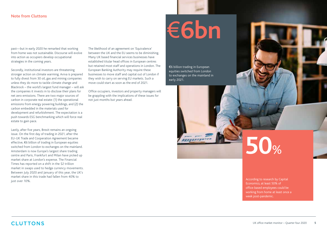past—but in early 2020 he remarked that working from home was not sustainable. Discourse will evolve into action as occupiers develop occupational strategies in the coming years.

Secondly, institutional investors are threatening stronger action on climate warming. Aviva is prepared to fully divest from 30 oil, gas and mining companies unless they do more to tackle climate change and Blackrock – the world's largest fund manager – will ask the companies it invests in to disclose their plans for net zero emissions. There are two major sources of carbon in corporate real estate: (1) the operational emissions from energy powering buildings, and (2) the carbon embedded in the materials used for development and refurbishment. The expectation is a push towards ESG benchmarking which will force real estate to gain pace.

Lastly, after five years, Brexit remains an ongoing issue. On the first day of trading in 2021, after the EU-UK Trade and Cooperation Agreement became effective, €6 billion of trading in European equities switched from London to exchanges on the mainland. Amsterdam is now Europe's largest share trading centre and Paris, Frankfurt and Milan have picked up market share at London's expense. The Financial Times has reported on a shift in the \$2 trillion market in swaps used to hedge currency movements. Between July 2020 and January of this year, the UK's market share in this trade had fallen from 40% to just over 10%.

The likelihood of an agreement on 'Equivalence' between the UK and the EU seems to be diminishing. Many UK based financial services businesses have established titular head offices in European centres but retained most staff and operations in London. The European Banking Authority may require these businesses to move staff and capital out of London if they wish to carry on serving EU markets. Such a move could start as soon as the end of 2021. ουι retained most start and operations in London. The τe €6 billion trading in European<br>equities switched from Londor و European Banking Authority may require these

> Office occupiers, investors and property managers will be grappling with the implications of these issues for not just months but years ahead.

# €**6bn**

equities switched from London to exchanges on the mainland in early 2021.

# **50**%

According to research by Capital Economics, at least 50% of office-based employees could be working from home at least once a week post-pandemic.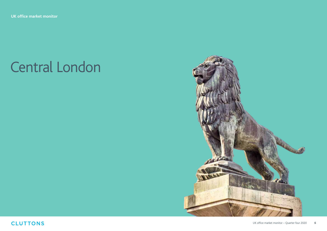# Central London

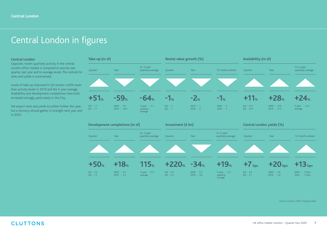## Central London in figures

### **Central London**

Opposite, recent quarterly activity in the central London office market is compared to activity last quarter, last year and to average levels. The outlook for rents and yields is summarised.

Levels of take-up improved in Q4 remain c.60% lower than activity levels in 2019 and the 5-year average. Availability and development completions have both increased strongly, particularly in the City.

We expect rents and yields to soften further this year, but a recovery should gather in strength next year and in 2023.

![](_page_6_Figure_6.jpeg)

Source: Cluttons, MSCI, Property Data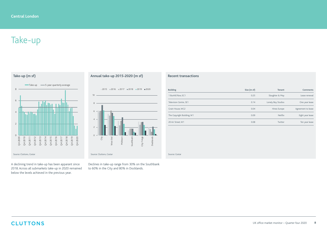# Take-up

**Take-up (m sf)**

![](_page_7_Figure_3.jpeg)

A declining trend in take-up has been apparant since 2018. Across all submarkets take-up in 2020 remained below the levels achieved in the previous year.

### **Annual take-up 2015-2020 (m sf)**

![](_page_7_Figure_6.jpeg)

Declines in take-up range from 30% on the Southbank to 60% in the City and 80% in Docklands.

### **Recent transactions**

| <b>Building</b>            | Size (m sf) | <b>Tenant</b>      | <b>Comments</b>    |
|----------------------------|-------------|--------------------|--------------------|
| 1 Bunhill Row, EC1         | 0.25        | Slaughter & May    | Lease renewal      |
| Television Centre, SE1     | 0.14        | Lonely Boy Studios | One year lease     |
| Grain House, WC2           | 0.04        | Hines Europe       | Agreement to lease |
| The Copyright Building, W1 | 0.09        | Netflix            | Eight year lease   |
| 20 Air Street. W1          | 0.08        | Twitter            | Ten year lease     |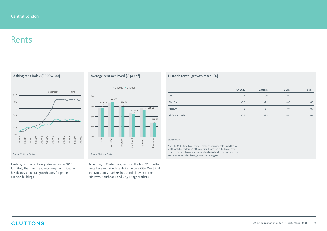## Rents

![](_page_8_Figure_2.jpeg)

Rental growth rates have plateaued since 2016. It is likely that the sizeable development pipeline has depressed rental growth rates for prime Grade A buildings.

### **Average rent achieved (£ per sf)**

![](_page_8_Figure_5.jpeg)

According to Costar data, rents in the last 12 months rents have remained stable in the core City, West End and Docklands markets but trended lower in the Midtown, Southbank and City Fringe markets.

### **Historic rental growth rates (%)**

|                    | Q4 2020 | 12 month | 3 year | 5 year |
|--------------------|---------|----------|--------|--------|
| City               | $-2.1$  | $-0.9$   | 0.7    | 1.2    |
| West End           | $-3.6$  | $-1.5$   | $-0.3$ | 0.5    |
| Midtown            | $-5$    | $-2.7$   | $-0.4$ | 0.7    |
| All Central London | $-3.9$  | $-1.9$   | $-0.1$ | 0.8    |

#### Source: MSCI

Note: the MSCI data shown above is based on valuation data submitted by >100 portfolios containing 394 properties. It varies from the Costar data presented in the adjacent graph, which is collected via local market research executives as and when leasing transactions are agreed.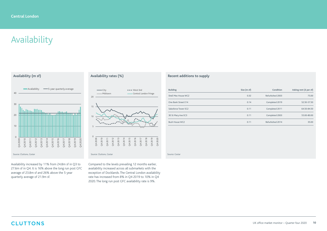# Availability

![](_page_9_Figure_2.jpeg)

Availability increased by 11% from 24.8m sf in Q3 to 27.6m sf in Q4. It is 16% above the long run post GFC average of 23.8m sf and 26% above the 5-year quarterly average of 21.9m sf.

### **Availability rates (%)**

![](_page_9_Figure_5.jpeg)

Compared to the levels prevailing 12 months earlier, availability increased across all submarkets with the exception of Docklands. The Central London availability rate has increased from 8% in Q4 2019 to 10% in Q4 2020. The long run post GFC availability rate is 9%.

### **Recent additions to supply**

| <b>Building</b>       | Size (m sf) | Condition        | Asking rent (£ per sf) |
|-----------------------|-------------|------------------|------------------------|
| Shell Mex House WC2   | 0.32        | Refurbished 2003 | 75.00                  |
| One Bank Street E14   | 0.14        | Completed 2019   | 52.50-57.50            |
| Salesforce Tower EC2  | 0.11        | Completed 2011   | 64.50-84.50            |
| 30 St Mary Axe EC3    | 0.11        | Completed 2003   | 55.00-80.00            |
| <b>Bush House WC2</b> | 0.11        | Refurbished 2014 | 35.00                  |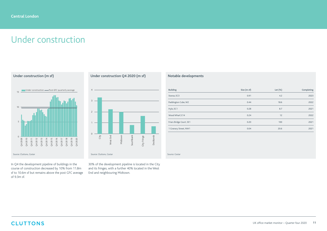## Under construction

**Under construction (m sf)** 0 5 10 15 04<br>04 20 11<br>04 20 11 20 11<br>04 20 11 20 11<br>04 20 11<br>04 20 18 Q4 2019 Q4 2020 Under construction - Post-GFC quarterly average

In Q4 the development pipeline of buildings in the course of construction decreased by 10% from 11.8m sf to 10.6m sf but remains above the post GFC average of 9.3m sf.

### **Under construction Q4 2020 (m sf)**

![](_page_10_Figure_5.jpeg)

30% of the development pipeline is located in the City and its fringes, with a further 40% located in the West End and neighbouring Midtown.

### **Notable developments**

| <b>Building</b>          | Size (m sf) | Let $(\%)$ | Completing |
|--------------------------|-------------|------------|------------|
| Stanza, EC3              | 0.91        | 4.2        | 2023       |
| Paddington Cube, W2      | 0.44        | 18.6       | 2022       |
| Hylo, EC1                | 0.28        | 8.7        | 2021       |
| Wood Wharf, E14          | 0.24        | 12         | 2022       |
| Friars Bridge Court, SE1 | 0.20        | 100        | 2021       |
| 1 Granary Street, NW1    | 0.04        | 20.6       | 2021       |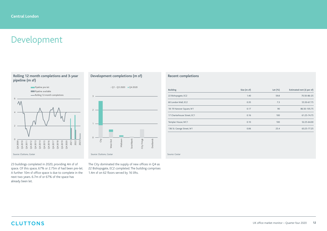# Development

### **Rolling 12 month completions and 3-year pipeline (m sf)**

![](_page_11_Figure_3.jpeg)

23 buildings completed in 2020, providing 4m sf of space. Of this space, 67% or 2.75m sf had been pre-let. A further 10m sf office space is due to complete in the next two years. 6.7m sf or 67% of the space has already been let.

### **Development completions (m sf)**

![](_page_11_Figure_6.jpeg)

The City dominated the supply of new offices in Q4 as 22 Bishopsgate, EC2 completed. The building comprises 1.4m sf on 62 floors served by 16 lifts.

### **Recent completions**

| <b>Building</b>             | Size (m sf) | Let $(\%)$ | Estimated rent (£ per sf) |
|-----------------------------|-------------|------------|---------------------------|
| 22 Bishopsgate, EC2         | 1.40        | 59.8       | 70.50-86-25               |
| 60 London Wall, EC2         | 0.35        | 7.3        | 55.50-67.75               |
| 18-19 Hanover Square, W1    | 0.17        | 90         | 86.50-105.75              |
| 17 Charterhouse Street. EC1 | 0.16        | 100        | 61.25-74.75               |
| Templar House, WC1          | 0.10        | 100        | 52.25-64.00               |
| 136 St. George Street, W1   | 0.06        | 25.4       | 63.25-77.25               |

Source: Costar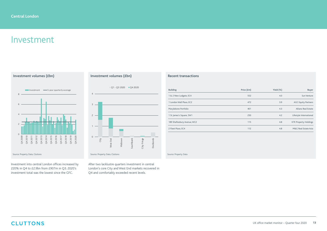## Investment

![](_page_12_Figure_2.jpeg)

Investment into central London offices increased by 220% in Q4 to £2.9bn from £907m in Q3. 2020's investment total was the lowest since the GFC.

### **Investment volumes (£bn)**

![](_page_12_Figure_5.jpeg)

After two lacklustre quarters investment in central London's core City and West End markets recovered in Q4 and comfortably exceeded recent levels.

### **Recent transactions**

| <b>Building</b>             | Price (£m) | Yield $(\%)$ | <b>Buyer</b>                 |
|-----------------------------|------------|--------------|------------------------------|
| 1 & 2 New Ludgate, EC4      | 552        | 4.0          | Sun Venture                  |
| 1 London Wall Place, EC2    | 472        | 3.9          | <b>AGC Equity Partners</b>   |
| Marylebone Portfolio        | 401        | 4.3          | Allianz Real Estate          |
| 1 St James's Square, SW1    | 250        | 4.2          | Lifestyle International      |
| 189 Shaftesbury Avenue, WC2 | 115        | 4.8          | <b>K7K Property Holdings</b> |
| 2 Fleet Place, EC4          | 112        | 4.8          | M&G Real Estate Asia         |

Source: Property Data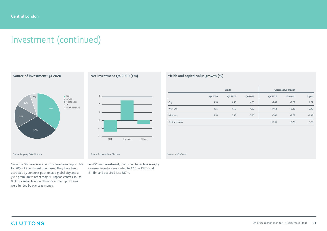# Investment (continued)

![](_page_13_Figure_2.jpeg)

Since the GFC overseas investors have been responsible for 70% of investment purchases. They have been attracted by London's position as a global city and a yield premium to other major European centres. In Q4 88% of central London office investment purchases were funded by overseas money.

### **Net investment Q4 2020 (£m)**

![](_page_13_Figure_5.jpeg)

In 2020 net investment, that is purchases less sales, by overseas investors amounted to £2.5bn. REITs sold £1.5bn and acquired just £87m.

### **Yields and capital value growth (%)**

|                |         | Yields  |         |          | Capital value growth |         |
|----------------|---------|---------|---------|----------|----------------------|---------|
|                | Q4 2020 | Q3 2020 | Q4 2019 | Q4 2020  | 12 month             | 3 year  |
| City           | 4.50    | 4.50    | 4.75    | $-1.65$  | $-2.21$              | 0.52    |
| West End       | 4.25    | 4.50    | 4.00    | $-17.68$ | $-8.82$              | $-2.42$ |
| Midtown        | 5.50    | 5.50    | 5.00    | $-2.80$  | $-2.71$              | $-0.47$ |
| Central London |         |         |         | $-10.46$ | $-5.78$              | $-1.23$ |

Source: MSCI, Costar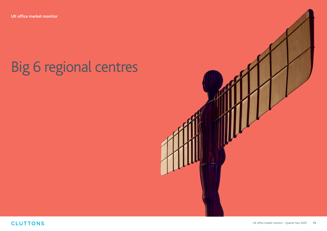# Big 6 regional centres

![](_page_14_Picture_2.jpeg)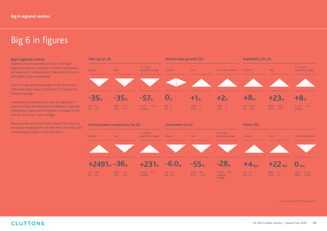# Big 6 in figures

#### **Big 6 regional centres**

Opposite, recent quarterly activity in the Big 6 regional centres is compared to activity last quarter, last year and to average levels. The outlook for rents and yields is also summarised.

Levels of take-up declined again in Q4 and remain 35% lower than levels in 2019 and 57% below the five year average.

Availability has increased, but less strongly than in central London. Development completions, fueled by Manchester, Leeds and Birmingham, increased in Q4 and are above the 5-year average.

Rental growth and yields have softened this year but we expect rental growth over the next 12 months and a hardening of yields in 2022 and 2023.

![](_page_15_Figure_7.jpeg)

Source: Cluttons, MSCI, Property Data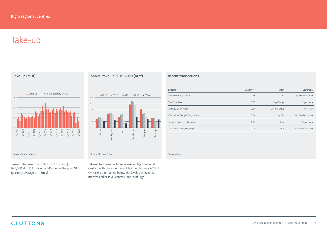# Take-up

![](_page_16_Figure_2.jpeg)

### **Annual take-up 2016-2020 (m sf)**

![](_page_16_Figure_4.jpeg)

Take-up decreased by 35% from 1m sf in Q3 to 675,000 sf in Q4. It is now 54% below the post GFC quarterly average of 1.5m sf.

Take-up has been declining across all Big 6 regional centres, with the exception of Edinburgh, since 2018. In Q4 take-up remained below the levels achieved 12 months earlier in all centres (bar Edinburgh).

### **Recent transactions**

| <b>Building</b>                   | Size (m sf) | <b>Tenant</b> | <b>Comments</b>      |
|-----------------------------------|-------------|---------------|----------------------|
| Four New Baily, Salford           | 0.18        | <b>BT</b>     | Agreement to lease   |
| The Cube, Leeds                   | 0.05        | StepChange    | 12 year lease        |
| 2 Trinity Quay, Bristol           | 0.04        | DAS UK Group  | 17 year lease        |
| Glass Wharf, Temple Quay, Bristol | 0.04        | lacobs        | No details available |
| Skypark, Finnieston, Glasgow      | 0.03        | Spire         | 10 year lease        |
| 10 George Street, Edinburgh       | 0.02        | Arup          | No details available |

Source: Costar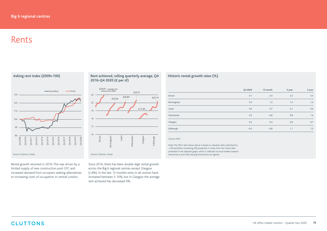## Rents

**Asking rent index (2009=100)** 80 90 100 110 120 130 Q4 2009 Q4 2010 Q4 2011 Q4 2012 Q4 2013 Q4 2014 Q4 2015 Q4 2016 Q4 2017 Q4 2018 Q4 2019 Q4 2020 Secondary **-Prime** Source: Cluttons, Costar Source: Cluttons, Costar Source: Cluttons, Costar Source: Cluttons, Costar Source: Cluttons, Costar Source: Cluttons, Costar Source: Cluttons, Costar Source: Cluttons, Costar Source: Cluttons, Cost

Rental growth returned in 2016. This was driven by a limited supply of new construction post GFC and increased demand from occupiers seeking alternatives to increasing costs of occupation in central London.

### **Rent achieved, rolling quarterly average, Q4 2016-Q4 2020 (£ per sf)**

![](_page_17_Figure_5.jpeg)

Since 2016, there has been double-digit rental growth across the Big 6 regional centres except Glasgow (c.8%). In the last 12 months rents in all centres have increased between 5-10%, but in Glasgow the average rent achieved has decreased 4%.

### **Historic rental growth rates (%)**

|            | Q4 2020 | 12 month | 3 year | 5 year |
|------------|---------|----------|--------|--------|
| Bristol    | 0.1     | 2.4      | 3.2    | 3.5    |
| Birmingham | 0.4     | 1.3      | 1.5    | 1.4    |
| Leeds      | 0.0     | 0.7      | 0.1    | 0.4    |
| Manchester | 0.2     | $-0.8$   | 0.8    | 1.4    |
| Glasgow    | 0.2     | 0.4      | 0.6    | 0.7    |
| Edinburgh  | $-0.2$  | $-0.8$   | 1.1    | 1.2    |

#### Source: MSCI

Note: The MSCI data shown above is based on valuation data submitted by >100 portfolios containing 394 properties. It varies from the Costar data presented in the adjacent graph, which is collected via local market research executives as and when leasing transactions are agreed.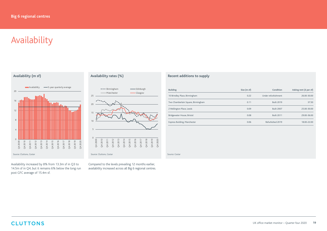# Availability

**Availability (m sf)**

![](_page_18_Figure_3.jpeg)

Availability increased by 8% from 13.3m sf in Q3 to 14.5m sf in Q4, but it remains 6% below the long run post GFC average of 15.4m sf.

### **Availability rates (%)**

![](_page_18_Figure_6.jpeg)

Compared to the levels prevailing 12 months earlier, availability increased across all Big 6 regional centres.

### **Recent additions to supply**

| <b>Building</b>                    | Size (m sf) | Condition           | Asking rent (£ per sf) |
|------------------------------------|-------------|---------------------|------------------------|
| 10 Brindley Place, Birmingham      | 0.22        | Under refurbishment | 26.00-30.00            |
| Two Chamberlain Square, Birmingham | 0.11        | <b>Built 2019</b>   | 37.50                  |
| 2 Wellington Place, Leeds          | 0.09        | <b>Built 2007</b>   | 25.00-30.00            |
| Bridgewater House, Bristol         | 0.08        | <b>Built 2011</b>   | 29.00-36.00            |
| Express Building, Manchester       | 0.06        | Refurbished 2019    | 18.00-22.00            |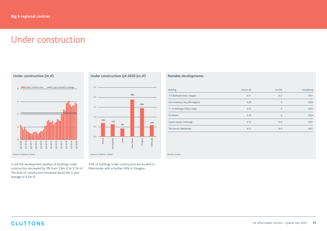## Under construction

**Under construction (m sf)**  $\overline{0}$ 2 4 6 8 Q4 2009 Q4 2011<br>Q4 2013<br>Q4 2013<br>Q4 2015<br>Q4 2013<br>Q4 2020 Under Construction - 5-year quarterly average

In Q4 the development pipeline of buildings under construction decreased by 3% from 5.8m sf to 5.7m sf. The level of construction remained above the 5-year average of 4.2m sf.

**Under construction Q4 2020 (m sf)**

![](_page_19_Figure_5.jpeg)

33% of buildings under construction are located in Manchester with a further 26% in Glasgow.

### **Notable developments**

| <b>Building</b>               | Size (m sf) | Let $(\%)$   | Completing |
|-------------------------------|-------------|--------------|------------|
| 177 Bothwell Street, Glasgow  | 0.31        | 75.5         | 2021       |
| One Centenery Way, Birmingham | 0.28        | $\mathbf{0}$ | 2023       |
| 11-12 Wellington Place, Leeds | 0.24        | $\mathbf{0}$ | 2022       |
| EQ, Bristol                   | 0.18        | $\mathbf{0}$ | 2023       |
| Capital Square, Edinburgh     | 0.12        | 55.6         | 2021       |
| The Lincoln, Manchester       | 0.11        | 16.9         | 2021       |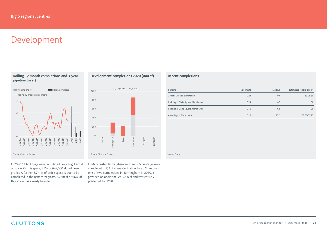## Development

### **Rolling 12 month completions and 3-year pipeline (m sf)**

![](_page_20_Figure_3.jpeg)

In 2020 11 buildings were completed providing 1.4m sf of space. Of this space, 47% or 647,000 sf had been pre-let. A further 5.7m sf of office space is due to be completed in the next three years. 3.74m sf or 66% of this space has already been let.

### **Development completions 2020 (000 sf)**

![](_page_20_Figure_6.jpeg)

In Manchester, Birmingham and Leeds, 5 buildings were completed in Q4. 3 Arena Central on Broad Street was one of two completions in Birmingham in 2020. It provided an additional 240,000 sf and was entirely pre-let let to HMRC.

### **Recent completions**

| <b>Building</b>                       | Size (m sf) | Let $(\%)$ | Estimated rent (£ per sf) |
|---------------------------------------|-------------|------------|---------------------------|
| 3 Arena Central, Birmingham           | 0.24        | 100        | 23-28.50                  |
| Building 1, Circle Square, Manchester | 0.24        | 47         | 30                        |
| Building 2, Circle Square, Manchester | 0.16        | 4.2        | 30                        |
| 4 Wellington Place, Leeds             | 0.16        | 88.2       | 28.75-35.25               |

Source: Costar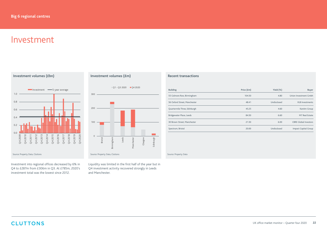## Investment

![](_page_21_Figure_2.jpeg)

Investment into regional offices decreased by 6% in Q4 to £287m from £306m in Q3. At £785m, 2020's investment total was the lowest since 2012.

### **Investment volumes (£m)**

![](_page_21_Figure_5.jpeg)

Liquidity was limited in the first half of the year but in Q4 investment activity recovered strongly in Leeds and Manchester.

### **Recent transactions**

| <b>Building</b>              | Price (£m) | Yield $(\%)$ | <b>Buyer</b>                 |
|------------------------------|------------|--------------|------------------------------|
| 55 Colmore Row, Birmingham   | 104.50     | 4.80         | Union Investment Gmbh        |
| 56 Oxford Street. Manchester | 48.41      | Undisclosed  | <b>XLB</b> Investments       |
| Quartermile Three, Edinburgh | 45.25      | 4.60         | KanAm Group                  |
| Bridgewater Place, Leeds     | 84.50      | 6.60         | M7 Real Estate               |
| 30 Brown Street. Manchester  | 21.50      | 6.00         | <b>CBRE Global Investors</b> |
| Spectrum, Bristol            | 20.00      | Undisclosed  | Impact Capital Group         |

Source: Property Data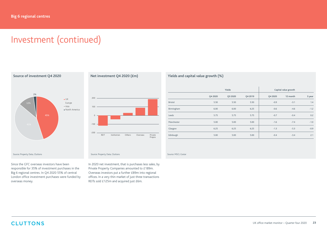# Investment (continued)

![](_page_22_Figure_2.jpeg)

Since the GFC overseas investors have been responsible for 35% of investment purchases in the Big 6 regional centres. In Q4 2020 55% of central London office investment purchases were funded by overseas money.

### **Net investment Q4 2020 (£m)**

![](_page_22_Figure_5.jpeg)

In 2020 net investment, that is purchases less sales, by Private Property Companies amounted to £189m. Overseas investors put a further £89m into regional offices. In a very thin market of just three transactions REITs sold £125m and acquired just £6m.

### **Yields and capital value growth (%)**

|                | Yields  |         |         | Capital value growth |          |        |
|----------------|---------|---------|---------|----------------------|----------|--------|
|                | Q4 2020 | Q3 2020 | Q4 2019 | Q4 2020              | 12 month | 3 year |
| <b>Bristol</b> | 5.50    | 5.50    | 5.50    | $-0.9$               | $-3.1$   | 1.4    |
| Birmingham     | 6.00    | 6.00    | 6.25    | $-0.6$               | $-4.6$   | $-1.2$ |
| Leeds          | 5.75    | 5.75    | 5.75    | $-0.7$               | $-0.4$   | 0.2    |
| Manchester     | 5.00    | 5.00    | 5.00    | $-1.6$               | $-7.4$   | $-1.0$ |
| Glasgow        | 6.25    | 6.25    | 6.25    | $-1.3$               | $-5.3$   | $-0.9$ |
| Edinburgh      | 5.00    | 5.00    | 5.00    | $-0.4$               | $-3.4$   | 2.1    |

#### Source: MSCI, Costar